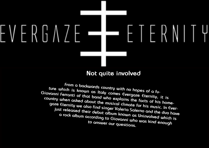**From a backwards country with no hopes of a future which is known as Italy comes Evergaze Eternity, it is Giovanni Ferranti of that band who explains the facts of his homecountry when asked about the musical climate for his music. In Evergaze Eternity we also find singer Valeria Salerno and the duo have just released their debut album known as Uninvolved which is a rock album according to Giovanni who was kind enough to answer our questions.**



## $\vdash V \vdash R \vdash \Lambda \neq \vdash$  $\vdash$

## **Not quite involved**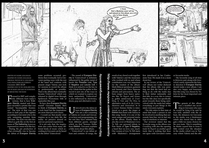

written by daniel källmalm graphics by daniel källmalm original phoyos by d. källmalm logo from evergaze eternity published: 2011-10-29 graphics due to no available photos of band and has no intention of reflecting the band

Formed in 2007 and completely different from today's version, that is how Evergaze Eternity started and these guys recorded a promo that was named 'Incompatible Existences'. The style of that was one close to dark pop of the eighties according to Giovanni who is the only remaining member from that time. The style was also described as goth like on the first albums of The Gathering, however, expressed in a more rock like key.

During the pre production of what eventually was to become the debut of Evergaze Eternity

some problems occurred, problems that eventually led to Giovanni parting ways with the rest of the band and continue with present singer Valeria and look for sessions to record the album as professionally as possible. That is the album that eventually became 'Uninvolved' which was released in digital form through Spiderrock Promotions 16th of september this year.

> Ininvolved is the debut album of Evergaze Eternity<br>who are a duo consisting<br>of Valeria on vocals and Giovanbum of Evergaze Eternity who are a duo consisting of Valeria on vocals and Giovanni on keys and programming, for the rest they have enlisted help from different guests, amongst which we find Terrence Holler from Eldritch. Giovanni explains a little more about this album.

So how does Evergaze Eternity sound? Giovanni mainly likes to think of Evergaze Eternity as a rock band but the inspirations are more than just rock music.

- I would say that mostly what inspires us is our daily life, the reality we perceive around us and our personal experiences.

It is not only that, the inspirations also comes from many different kinds of music which according to Giovanni can be heard on the debut 'Uninvolved.'

- The sound of Evergaze Eternity in 'Uninvolved' is definitely influenced by the gothic metal of bands like Paradise Lost, Type O Negative and Lacuna Coil. I think it is reductive as the key to why I think that the gothic in this record is just one of the ways in which we wanted to express our basic melancholy. 'Uninvolved' is also influenced by electronics, doom, pop and alternative rock.

- 'Uninvolved' is our debut album and contains 10 songs, the

The genesis of this album was a troubled one according to Giovanni who says he would be lying if he said he was fully satisfied with the album, the distances for Giovanni to the studio was a hindrances which also forced him to delegate a little too many choices for his own taste. This is something he thinks caused him to loose a little control over the situation in the studio which was in Tuscany where Valeria and the oth-

first introduced in her Confessions Tour. We made it in a more doom key.

In our review of the 'Uninvolved' album our writer deduced that the album title was pointing out that the band had nothing to do with the mafia due to their italian nationality and that title, in a way this is correct but the title does not specifically point towards them being uninvolved with the mafia but rather everything or just things in the mind, Giovanni explains.

result of my choral work together with Valeria's and the musicians who worked with us and whose contribution was very important for the creation of the album: Mark Ribecai (producer, guitarist and bassist) and Dave Simeone (drums and percussion). The album ranges from heavy episodes like *No Regrets* and *Insane*, to gothic metal/rock of *Crumbling*, *In Vain* and *The Hive*, to alternative rock of *In the Corner*, *Memories* and *Uninvolved*. In *In a Corner* Terence Holler is introduced as a guest, the singer of Eldritch that duets with Valeria in this song. Surely it is one of the most unique and personal tracks on the album. Finally, there is also the cover of Madonna's Live To Tell, our personal tribute to Pete Steele of Type O Negative, a band that we love very much. Our version of Live To Tell starts with Madonna's arrangement **<sup>3</sup> <sup>4</sup> http://www.myspace.com/evergazeeternityhttp://www.myspace.com/evergazeeternity**

- The title refers to that state of mind that leads a person to not be involved in anything that surrounds him/her, not to feel any type of emotions or interests.

Our reviewer stated that the favourite song on the album was *Crumbling* with also the opening track *No Regrets* as another good track, that is nothing that does not agree with Giovanni's tastes



or favourite tracks.

- My favourite song of all time is *Memories* and, along with *Uninvolved*, surely represents the future direction if Evergaze Eternity should make a new album. I am also very happy and honoured that this song was chosen by Valeria for her most important and intimate piece.